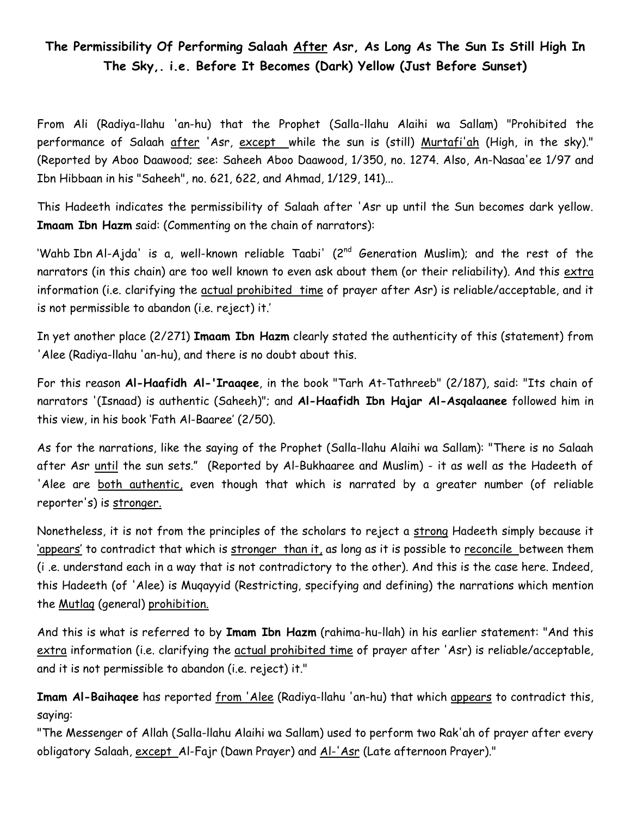## **The Permissibility Of Performing Salaah After Asr, As Long As The Sun Is Still High In The Sky,. i.e. Before It Becomes (Dark) Yellow (Just Before Sunset)**

From Ali (Radiya-llahu 'an-hu) that the Prophet (Salla-llahu Alaihi wa Sallam) "Prohibited the performance of Salaah after 'Asr, except while the sun is (still) Murtafi'ah (High, in the sky)." (Reported by Aboo Daawood; see: Saheeh Aboo Daawood, 1/350, no. 1274. Also, An-Nasaa'ee 1/97 and Ibn Hibbaan in his "Saheeh", no. 621, 622, and Ahmad, 1/129, 141)...

This Hadeeth indicates the permissibility of Salaah after 'Asr up until the Sun becomes dark yellow. **Imaam Ibn Hazm** said: (Commenting on the chain of narrators):

'Wahb Ibn Al-Ajda' is a, well-known reliable Taabi' (2<sup>nd</sup> Generation Muslim); and the rest of the narrators (in this chain) are too well known to even ask about them (or their reliability). And this extra information (i.e. clarifying the actual prohibited time of prayer after Asr) is reliable/acceptable, and it is not permissible to abandon (i.e. reject) it.'

In yet another place (2/271) **Imaam Ibn Hazm** clearly stated the authenticity of this (statement) from 'Alee (Radiya-llahu 'an-hu), and there is no doubt about this.

For this reason **Al-Haafidh Al-'Iraaqee**, in the book "Tarh At-Tathreeb" (2/187), said: "Its chain of narrators '(Isnaad) is authentic (Saheeh)"; and **Al-Haafidh Ibn Hajar Al-Asqalaanee** followed him in this view, in his book 'Fath Al-Baaree' (2/50).

As for the narrations, like the saying of the Prophet (Salla-llahu Alaihi wa Sallam): "There is no Salaah after Asr until the sun sets." (Reported by Al-Bukhaaree and Muslim) - it as well as the Hadeeth of 'Alee are both authentic, even though that which is narrated by a greater number (of reliable reporter's) is stronger.

Nonetheless, it is not from the principles of the scholars to reject a strong Hadeeth simply because it 'appears' to contradict that which is stronger than it, as long as it is possible to reconcile between them (i .e. understand each in a way that is not contradictory to the other). And this is the case here. Indeed, this Hadeeth (of 'Alee) is Muqayyid (Restricting, specifying and defining) the narrations which mention the Mutlaq (general) prohibition.

And this is what is referred to by **Imam Ibn Hazm** (rahima-hu-llah) in his earlier statement: "And this extra information (i.e. clarifying the actual prohibited time of prayer after 'Asr) is reliable/acceptable, and it is not permissible to abandon (i.e. reject) it."

**Imam Al-Baihaqee** has reported from 'Alee (Radiya-llahu 'an-hu) that which appears to contradict this, saying:

"The Messenger of Allah (Salla-llahu Alaihi wa Sallam) used to perform two Rak'ah of prayer after every obligatory Salaah, except Al-Fajr (Dawn Prayer) and Al-'Asr (Late afternoon Prayer)."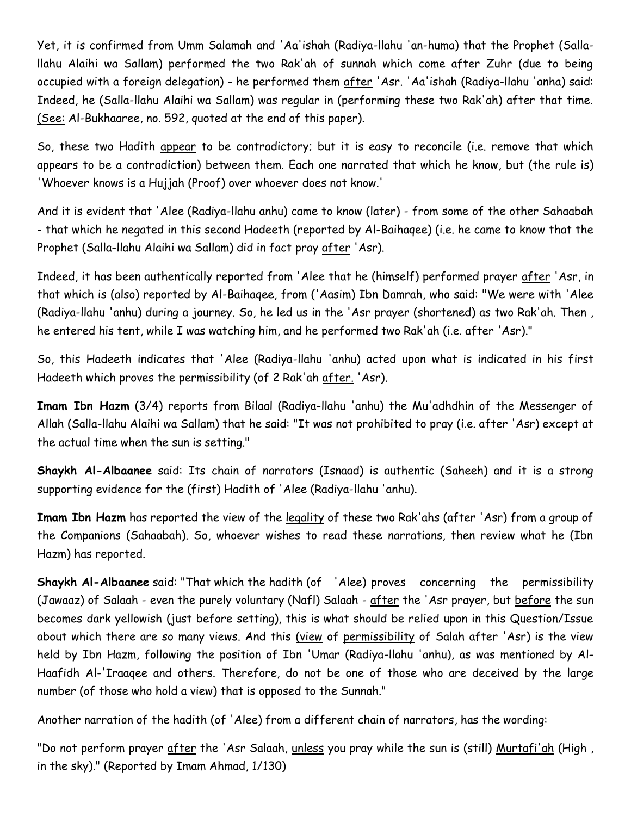Yet, it is confirmed from Umm Salamah and 'Aa'ishah (Radiya-llahu 'an-huma) that the Prophet (Sallallahu Alaihi wa Sallam) performed the two Rak'ah of sunnah which come after Zuhr (due to being occupied with a foreign delegation) - he performed them after 'Asr. 'Aa'ishah (Radiya-llahu 'anha) said: Indeed, he (Salla-llahu Alaihi wa Sallam) was regular in (performing these two Rak'ah) after that time. (See: Al-Bukhaaree, no. 592, quoted at the end of this paper).

So, these two Hadith appear to be contradictory; but it is easy to reconcile (i.e. remove that which appears to be a contradiction) between them. Each one narrated that which he know, but (the rule is) 'Whoever knows is a Hujjah (Proof) over whoever does not know.'

And it is evident that 'Alee (Radiya-llahu anhu) came to know (later) - from some of the other Sahaabah - that which he negated in this second Hadeeth (reported by Al-Baihaqee) (i.e. he came to know that the Prophet (Salla-llahu Alaihi wa Sallam) did in fact pray after 'Asr).

Indeed, it has been authentically reported from 'Alee that he (himself) performed prayer after 'Asr, in that which is (also) reported by Al-Baihaqee, from ('Aasim) Ibn Damrah, who said: "We were with 'Alee (Radiya-llahu 'anhu) during a journey. So, he led us in the 'Asr prayer (shortened) as two Rak'ah. Then , he entered his tent, while I was watching him, and he performed two Rak'ah (i.e. after 'Asr)."

So, this Hadeeth indicates that 'Alee (Radiya-llahu 'anhu) acted upon what is indicated in his first Hadeeth which proves the permissibility (of 2 Rak'ah <u>after.</u> 'Asr).

**Imam Ibn Hazm** (3/4) reports from Bilaal (Radiya-llahu 'anhu) the Mu'adhdhin of the Messenger of Allah (Salla-llahu Alaihi wa Sallam) that he said: "It was not prohibited to pray (i.e. after 'Asr) except at the actual time when the sun is setting."

**Shaykh Al-Albaanee** said: Its chain of narrators (Isnaad) is authentic (Saheeh) and it is a strong supporting evidence for the (first) Hadith of 'Alee (Radiya-llahu 'anhu).

**Imam Ibn Hazm** has reported the view of the legality of these two Rak'ahs (after 'Asr) from a group of the Companions (Sahaabah). So, whoever wishes to read these narrations, then review what he (Ibn Hazm) has reported.

**Shaykh Al-Albaanee** said: "That which the hadith (of 'Alee) proves concerning the permissibility (Jawaaz) of Salaah - even the purely voluntary (Nafl) Salaah - after the 'Asr prayer, but before the sun becomes dark yellowish (just before setting), this is what should be relied upon in this Question/Issue about which there are so many views. And this (view of permissibility of Salah after 'Asr) is the view held by Ibn Hazm, following the position of Ibn 'Umar (Radiya-llahu 'anhu), as was mentioned by Al-Haafidh Al-'Iraaqee and others. Therefore, do not be one of those who are deceived by the large number (of those who hold a view) that is opposed to the Sunnah."

Another narration of the hadith (of 'Alee) from a different chain of narrators, has the wording:

"Do not perform prayer after the 'Asr Salaah, unless you pray while the sun is (still) Murtafi'ah (High , in the sky)." (Reported by Imam Ahmad, 1/130)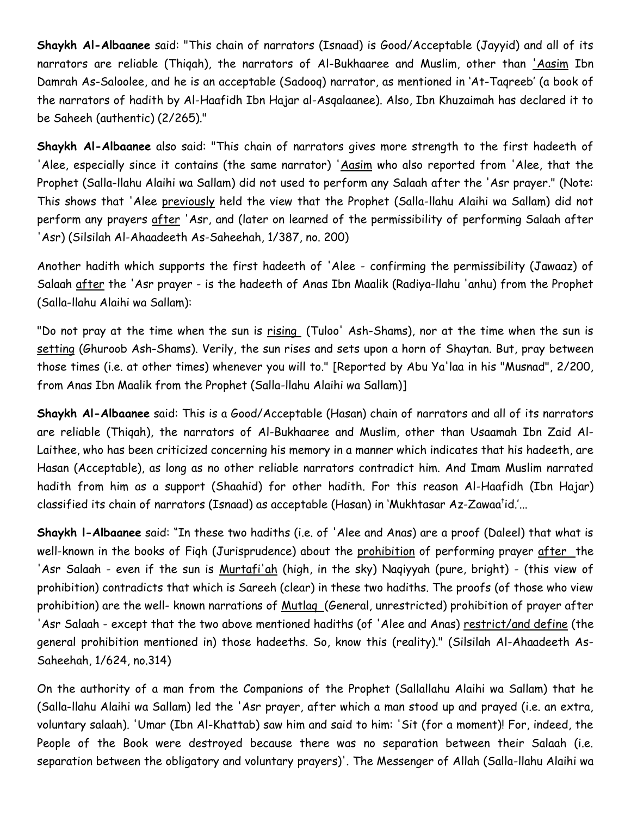**Shaykh Al-Albaanee** said: "This chain of narrators (Isnaad) is Good/Acceptable (Jayyid) and all of its narrators are reliable (Thiqah), the narrators of Al-Bukhaaree and Muslim, other than 'Aasim Ibn Damrah As-Saloolee, and he is an acceptable (Sadooq) narrator, as mentioned in 'At-Taqreeb' (a book of the narrators of hadith by Al-Haafidh Ibn Hajar al-Asqalaanee). Also, Ibn Khuzaimah has declared it to be Saheeh (authentic) (2/265)."

**Shaykh Al-Albaanee** also said: "This chain of narrators gives more strength to the first hadeeth of 'Alee, especially since it contains (the same narrator) 'Aasim who also reported from 'Alee, that the Prophet (Salla-llahu Alaihi wa Sallam) did not used to perform any Salaah after the 'Asr prayer." (Note: This shows that 'Alee previously held the view that the Prophet (Salla-llahu Alaihi wa Sallam) did not perform any prayers after 'Asr, and (later on learned of the permissibility of performing Salaah after 'Asr) (Silsilah Al-Ahaadeeth As-Saheehah, 1/387, no. 200)

Another hadith which supports the first hadeeth of 'Alee - confirming the permissibility (Jawaaz) of Salaah after the 'Asr prayer - is the hadeeth of Anas Ibn Maalik (Radiya-llahu 'anhu) from the Prophet (Salla-llahu Alaihi wa Sallam):

"Do not pray at the time when the sun is rising (Tuloo' Ash-Shams), nor at the time when the sun is setting (Ghuroob Ash-Shams). Verily, the sun rises and sets upon a horn of Shaytan. But, pray between those times (i.e. at other times) whenever you will to." [Reported by Abu Ya'laa in his "Musnad", 2/200, from Anas Ibn Maalik from the Prophet (Salla-llahu Alaihi wa Sallam)]

**Shaykh Al-Albaanee** said: This is a Good/Acceptable (Hasan) chain of narrators and all of its narrators are reliable (Thiqah), the narrators of Al-Bukhaaree and Muslim, other than Usaamah Ibn Zaid Al-Laithee, who has been criticized concerning his memory in a manner which indicates that his hadeeth, are Hasan (Acceptable), as long as no other reliable narrators contradict him. And Imam Muslim narrated hadith from him as a support (Shaahid) for other hadith. For this reason Al-Haafidh (Ibn Hajar) classified its chain of narrators (Isnaad) as acceptable (Hasan) in 'Mukhtasar Az-Zawaa<sup>t</sup>id.'…

**Shaykh l-Albaanee** said: "In these two hadiths (i.e. of 'Alee and Anas) are a proof (Daleel) that what is well-known in the books of Fiqh (Jurisprudence) about the prohibition of performing prayer after the 'Asr Salaah - even if the sun is Murtafi'ah (high, in the sky) Naqiyyah (pure, bright) - (this view of prohibition) contradicts that which is Sareeh (clear) in these two hadiths. The proofs (of those who view prohibition) are the well- known narrations of Mutlag (General, unrestricted) prohibition of prayer after 'Asr Salaah - except that the two above mentioned hadiths (of 'Alee and Anas) restrict/and define (the general prohibition mentioned in) those hadeeths. So, know this (reality)." (Silsilah Al-Ahaadeeth As-Saheehah, 1/624, no.314)

On the authority of a man from the Companions of the Prophet (Sallallahu Alaihi wa Sallam) that he (Salla-llahu Alaihi wa Sallam) led the 'Asr prayer, after which a man stood up and prayed (i.e. an extra, voluntary salaah). 'Umar (Ibn Al-Khattab) saw him and said to him: 'Sit (for a moment)! For, indeed, the People of the Book were destroyed because there was no separation between their Salaah (i.e. separation between the obligatory and voluntary prayers)'. The Messenger of Allah (Salla-llahu Alaihi wa